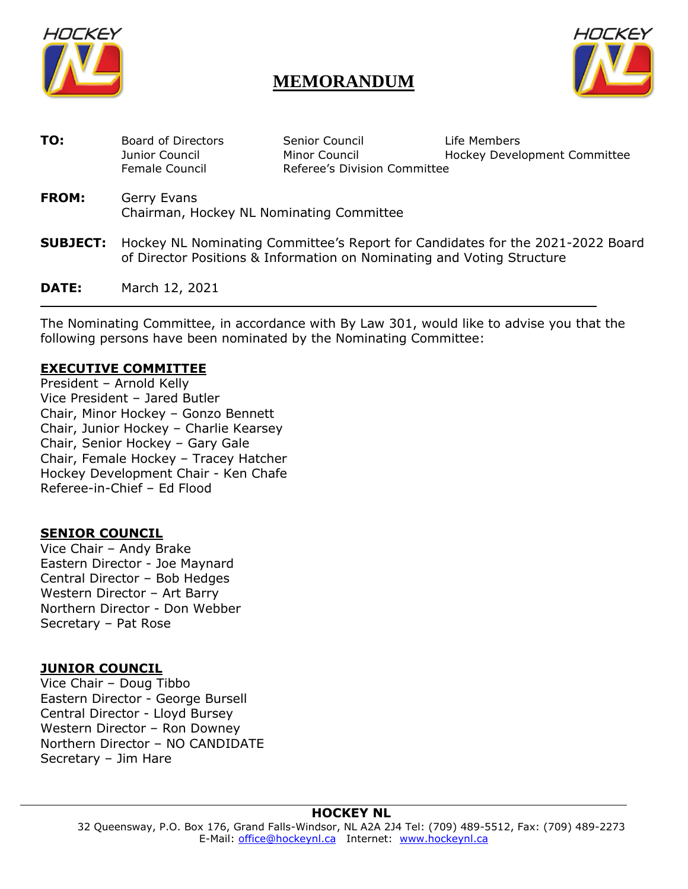

# **MEMORANDUM**



| TO:          | Board of Directors<br>Junior Council<br>Female Council                                                                                                                   | Senior Council<br>Minor Council<br>Referee's Division Committee | Life Members<br>Hockey Development Committee |
|--------------|--------------------------------------------------------------------------------------------------------------------------------------------------------------------------|-----------------------------------------------------------------|----------------------------------------------|
| <b>FROM:</b> | Gerry Evans<br>Chairman, Hockey NL Nominating Committee                                                                                                                  |                                                                 |                                              |
|              | <b>SUBJECT:</b> Hockey NL Nominating Committee's Report for Candidates for the 2021-2022 Board<br>of Director Positions & Information on Nominating and Voting Structure |                                                                 |                                              |
| DATE:        | March 12, 2021                                                                                                                                                           |                                                                 |                                              |

The Nominating Committee, in accordance with By Law 301, would like to advise you that the following persons have been nominated by the Nominating Committee:

#### **EXECUTIVE COMMITTEE**

President – Arnold Kelly Vice President – Jared Butler Chair, Minor Hockey – Gonzo Bennett Chair, Junior Hockey – Charlie Kearsey Chair, Senior Hockey – Gary Gale Chair, Female Hockey – Tracey Hatcher Hockey Development Chair - Ken Chafe Referee-in-Chief – Ed Flood

#### **SENIOR COUNCIL**

Vice Chair – Andy Brake Eastern Director - Joe Maynard Central Director – Bob Hedges Western Director – Art Barry Northern Director - Don Webber Secretary – Pat Rose

#### **JUNIOR COUNCIL**

Vice Chair – Doug Tibbo Eastern Director - George Bursell Central Director - Lloyd Bursey Western Director – Ron Downey Northern Director – NO CANDIDATE Secretary – Jim Hare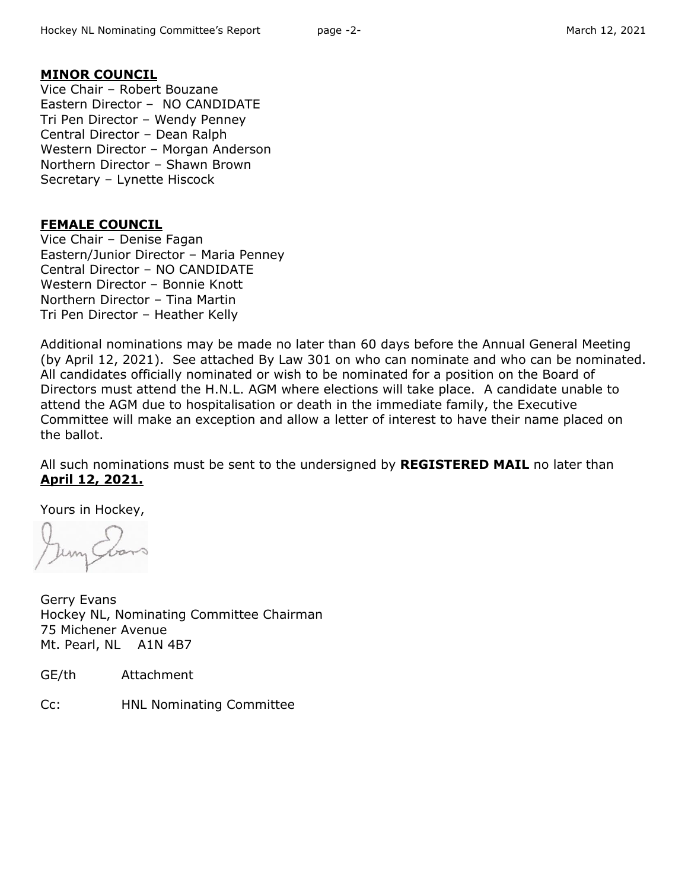#### **MINOR COUNCIL**

Vice Chair – Robert Bouzane Eastern Director – NO CANDIDATE Tri Pen Director – Wendy Penney Central Director – Dean Ralph Western Director – Morgan Anderson Northern Director – Shawn Brown Secretary – Lynette Hiscock

### **FEMALE COUNCIL**

Vice Chair – Denise Fagan Eastern/Junior Director – Maria Penney Central Director – NO CANDIDATE Western Director – Bonnie Knott Northern Director – Tina Martin Tri Pen Director – Heather Kelly

Additional nominations may be made no later than 60 days before the Annual General Meeting (by April 12, 2021). See attached By Law 301 on who can nominate and who can be nominated. All candidates officially nominated or wish to be nominated for a position on the Board of Directors must attend the H.N.L. AGM where elections will take place. A candidate unable to attend the AGM due to hospitalisation or death in the immediate family, the Executive Committee will make an exception and allow a letter of interest to have their name placed on the ballot.

All such nominations must be sent to the undersigned by **REGISTERED MAIL** no later than **April 12, 2021.**

Yours in Hockey,

Gerry Evans Hockey NL, Nominating Committee Chairman 75 Michener Avenue Mt. Pearl, NL A1N 4B7

GE/th Attachment

Cc: HNL Nominating Committee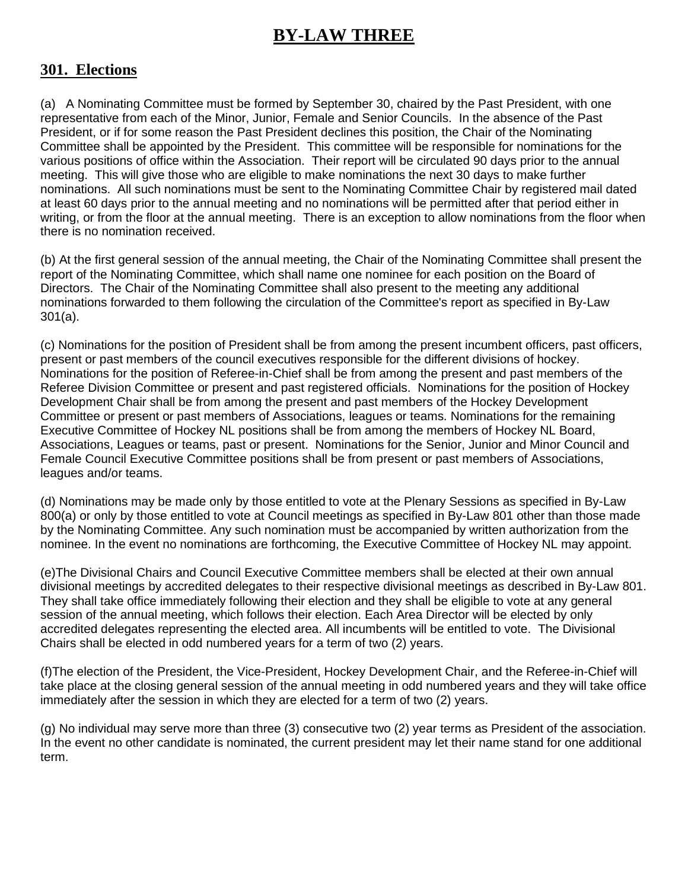# **BY-LAW THREE**

## **301. Elections**

(a) A Nominating Committee must be formed by September 30, chaired by the Past President, with one representative from each of the Minor, Junior, Female and Senior Councils. In the absence of the Past President, or if for some reason the Past President declines this position, the Chair of the Nominating Committee shall be appointed by the President. This committee will be responsible for nominations for the various positions of office within the Association. Their report will be circulated 90 days prior to the annual meeting. This will give those who are eligible to make nominations the next 30 days to make further nominations. All such nominations must be sent to the Nominating Committee Chair by registered mail dated at least 60 days prior to the annual meeting and no nominations will be permitted after that period either in writing, or from the floor at the annual meeting. There is an exception to allow nominations from the floor when there is no nomination received.

(b) At the first general session of the annual meeting, the Chair of the Nominating Committee shall present the report of the Nominating Committee, which shall name one nominee for each position on the Board of Directors. The Chair of the Nominating Committee shall also present to the meeting any additional nominations forwarded to them following the circulation of the Committee's report as specified in By-Law 301(a).

(c) Nominations for the position of President shall be from among the present incumbent officers, past officers, present or past members of the council executives responsible for the different divisions of hockey. Nominations for the position of Referee-in-Chief shall be from among the present and past members of the Referee Division Committee or present and past registered officials. Nominations for the position of Hockey Development Chair shall be from among the present and past members of the Hockey Development Committee or present or past members of Associations, leagues or teams. Nominations for the remaining Executive Committee of Hockey NL positions shall be from among the members of Hockey NL Board, Associations, Leagues or teams, past or present. Nominations for the Senior, Junior and Minor Council and Female Council Executive Committee positions shall be from present or past members of Associations, leagues and/or teams.

(d) Nominations may be made only by those entitled to vote at the Plenary Sessions as specified in By-Law 800(a) or only by those entitled to vote at Council meetings as specified in By-Law 801 other than those made by the Nominating Committee. Any such nomination must be accompanied by written authorization from the nominee. In the event no nominations are forthcoming, the Executive Committee of Hockey NL may appoint.

(e)The Divisional Chairs and Council Executive Committee members shall be elected at their own annual divisional meetings by accredited delegates to their respective divisional meetings as described in By-Law 801. They shall take office immediately following their election and they shall be eligible to vote at any general session of the annual meeting, which follows their election. Each Area Director will be elected by only accredited delegates representing the elected area. All incumbents will be entitled to vote. The Divisional Chairs shall be elected in odd numbered years for a term of two (2) years.

(f)The election of the President, the Vice-President, Hockey Development Chair, and the Referee-in-Chief will take place at the closing general session of the annual meeting in odd numbered years and they will take office immediately after the session in which they are elected for a term of two (2) years.

(g) No individual may serve more than three (3) consecutive two (2) year terms as President of the association. In the event no other candidate is nominated, the current president may let their name stand for one additional term.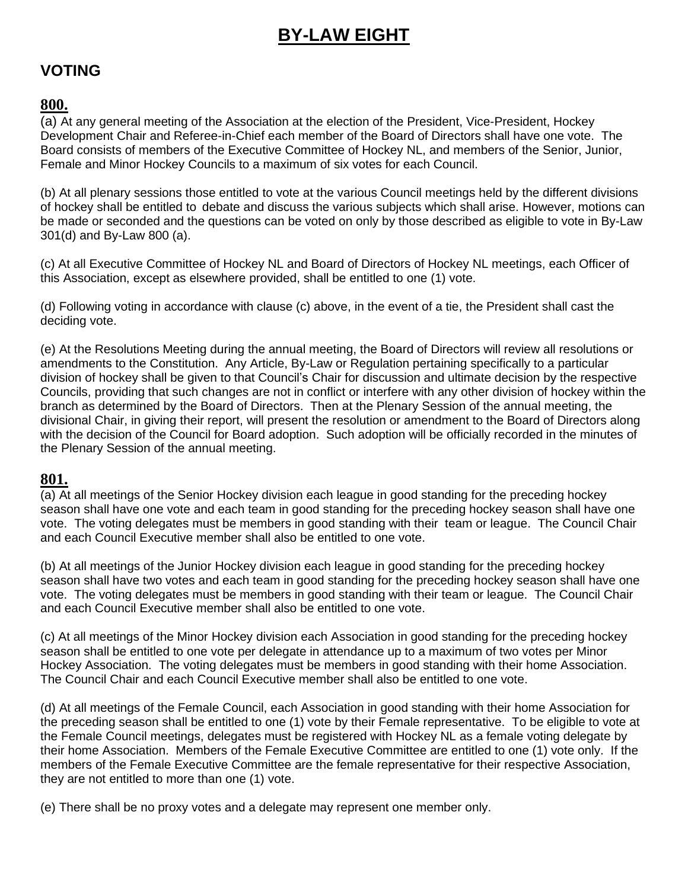# **BY-LAW EIGHT**

## **VOTING**

## **800.**

(a) At any general meeting of the Association at the election of the President, Vice-President, Hockey Development Chair and Referee-in-Chief each member of the Board of Directors shall have one vote. The Board consists of members of the Executive Committee of Hockey NL, and members of the Senior, Junior, Female and Minor Hockey Councils to a maximum of six votes for each Council.

(b) At all plenary sessions those entitled to vote at the various Council meetings held by the different divisions of hockey shall be entitled to debate and discuss the various subjects which shall arise. However, motions can be made or seconded and the questions can be voted on only by those described as eligible to vote in By-Law 301(d) and By-Law 800 (a).

(c) At all Executive Committee of Hockey NL and Board of Directors of Hockey NL meetings, each Officer of this Association, except as elsewhere provided, shall be entitled to one (1) vote.

(d) Following voting in accordance with clause (c) above, in the event of a tie, the President shall cast the deciding vote.

(e) At the Resolutions Meeting during the annual meeting, the Board of Directors will review all resolutions or amendments to the Constitution. Any Article, By-Law or Regulation pertaining specifically to a particular division of hockey shall be given to that Council's Chair for discussion and ultimate decision by the respective Councils, providing that such changes are not in conflict or interfere with any other division of hockey within the branch as determined by the Board of Directors. Then at the Plenary Session of the annual meeting, the divisional Chair, in giving their report, will present the resolution or amendment to the Board of Directors along with the decision of the Council for Board adoption. Such adoption will be officially recorded in the minutes of the Plenary Session of the annual meeting.

## **801.**

(a) At all meetings of the Senior Hockey division each league in good standing for the preceding hockey season shall have one vote and each team in good standing for the preceding hockey season shall have one vote. The voting delegates must be members in good standing with their team or league. The Council Chair and each Council Executive member shall also be entitled to one vote.

(b) At all meetings of the Junior Hockey division each league in good standing for the preceding hockey season shall have two votes and each team in good standing for the preceding hockey season shall have one vote. The voting delegates must be members in good standing with their team or league.The Council Chair and each Council Executive member shall also be entitled to one vote.

(c) At all meetings of the Minor Hockey division each Association in good standing for the preceding hockey season shall be entitled to one vote per delegate in attendance up to a maximum of two votes per Minor Hockey Association. The voting delegates must be members in good standing with their home Association. The Council Chair and each Council Executive member shall also be entitled to one vote.

(d) At all meetings of the Female Council, each Association in good standing with their home Association for the preceding season shall be entitled to one (1) vote by their Female representative. To be eligible to vote at the Female Council meetings, delegates must be registered with Hockey NL as a female voting delegate by their home Association. Members of the Female Executive Committee are entitled to one (1) vote only. If the members of the Female Executive Committee are the female representative for their respective Association, they are not entitled to more than one (1) vote.

(e) There shall be no proxy votes and a delegate may represent one member only.